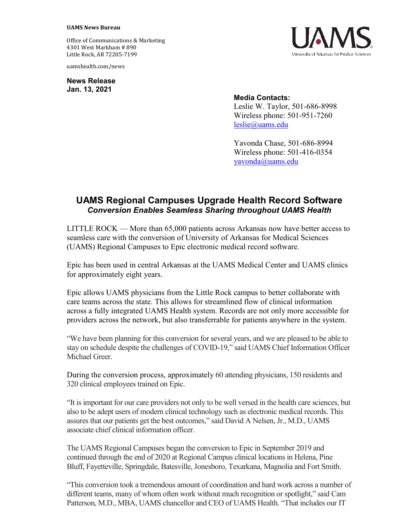## **UAMS News Bureau**

Office of Communications & Marketing 4301 West Markham # 890 Little Rock, AR 72205-7199

uamshealth.com/news

**News Release Jan. 13, 2021**



## **Media Contacts:**

Leslie W. Taylor, 501-686-8998 Wireless phone: 501-951-7260 [leslie@uams.edu](mailto:leslie@uams.edu)

Yavonda Chase, 501-686-8994 Wireless phone: 501-416-0354 [yavonda@uams.edu](mailto:yavonda@uams.edu) 

## **UAMS Regional Campuses Upgrade Health Record Software** *Conversion Enables Seamless Sharing throughout UAMS Health*

LITTLE ROCK — More than 65,000 patients across Arkansas now have better access to seamless care with the conversion of University of Arkansas for Medical Sciences (UAMS) Regional Campuses to Epic electronic medical record software.

Epic has been used in central Arkansas at the UAMS Medical Center and UAMS clinics for approximately eight years.

Epic allows UAMS physicians from the Little Rock campus to better collaborate with care teams across the state. This allows for streamlined flow of clinical information across a fully integrated UAMS Health system. Records are not only more accessible for providers across the network, but also transferrable for patients anywhere in the system.

"We have been planning for this conversion for several years, and we are pleased to be able to stay on schedule despite the challenges of COVID-19," said UAMS Chief Information Officer Michael Greer.

During the conversion process, approximately 60 attending physicians, 150 residents and 320 clinical employees trained on Epic.

"It is important for our care providers not only to be well versed in the health care sciences, but also to be adept users of modern clinical technology such as electronic medical records. This assures that our patients get the best outcomes," said David A Nelsen, Jr., M.D., UAMS associate chief clinical information officer.

The UAMS Regional Campuses began the conversion to Epic in September 2019 and continued through the end of 2020 at Regional Campus clinical locations in Helena, Pine Bluff, Fayetteville, Springdale, Batesville, Jonesboro, Texarkana, Magnolia and Fort Smith.

"This conversion took a tremendous amount of coordination and hard work across a number of different teams, many of whom often work without much recognition or spotlight," said Cam Patterson, M.D., MBA, UAMS chancellor and CEO of UAMS Health. "That includes our IT